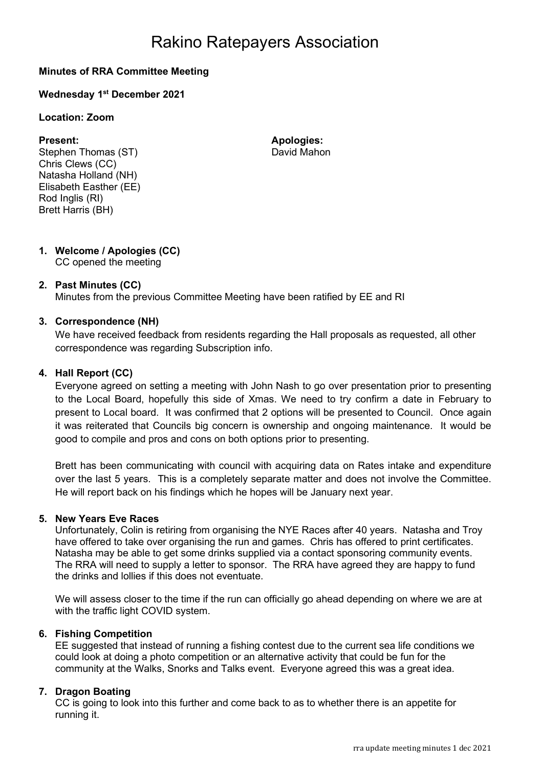## Rakino Ratepayers Association

### Minutes of RRA Committee Meeting

### Wednesday 1<sup>st</sup> December 2021

#### Location: Zoom

Stephen Thomas (ST) David Mahon Chris Clews (CC) Natasha Holland (NH) Elisabeth Easther (EE) Rod Inglis (RI) Brett Harris (BH)

Present: Apologies: Apologies:

#### 1. Welcome / Apologies (CC) CC opened the meeting

#### 2. Past Minutes (CC)

Minutes from the previous Committee Meeting have been ratified by EE and RI

#### 3. Correspondence (NH)

We have received feedback from residents regarding the Hall proposals as requested, all other correspondence was regarding Subscription info.

#### 4. Hall Report (CC)

Everyone agreed on setting a meeting with John Nash to go over presentation prior to presenting to the Local Board, hopefully this side of Xmas. We need to try confirm a date in February to present to Local board. It was confirmed that 2 options will be presented to Council. Once again it was reiterated that Councils big concern is ownership and ongoing maintenance. It would be good to compile and pros and cons on both options prior to presenting.

Brett has been communicating with council with acquiring data on Rates intake and expenditure over the last 5 years. This is a completely separate matter and does not involve the Committee. He will report back on his findings which he hopes will be January next year.

#### 5. New Years Eve Races

Unfortunately, Colin is retiring from organising the NYE Races after 40 years. Natasha and Troy have offered to take over organising the run and games. Chris has offered to print certificates. Natasha may be able to get some drinks supplied via a contact sponsoring community events. The RRA will need to supply a letter to sponsor. The RRA have agreed they are happy to fund the drinks and lollies if this does not eventuate.

We will assess closer to the time if the run can officially go ahead depending on where we are at with the traffic light COVID system.

#### 6. Fishing Competition

EE suggested that instead of running a fishing contest due to the current sea life conditions we could look at doing a photo competition or an alternative activity that could be fun for the community at the Walks, Snorks and Talks event. Everyone agreed this was a great idea.

#### 7. Dragon Boating

CC is going to look into this further and come back to as to whether there is an appetite for running it.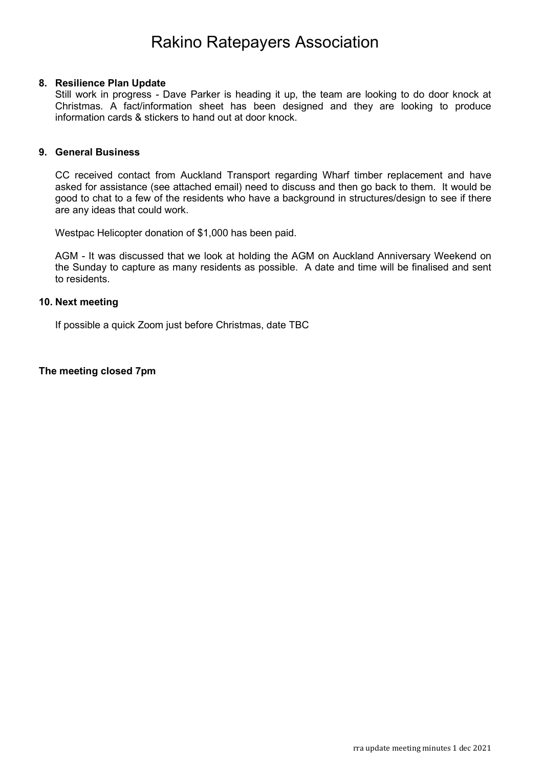### Rakino Ratepayers Association

#### 8. Resilience Plan Update

Still work in progress - Dave Parker is heading it up, the team are looking to do door knock at Christmas. A fact/information sheet has been designed and they are looking to produce information cards & stickers to hand out at door knock.

#### 9. General Business

CC received contact from Auckland Transport regarding Wharf timber replacement and have asked for assistance (see attached email) need to discuss and then go back to them. It would be good to chat to a few of the residents who have a background in structures/design to see if there are any ideas that could work.

Westpac Helicopter donation of \$1,000 has been paid.

AGM - It was discussed that we look at holding the AGM on Auckland Anniversary Weekend on the Sunday to capture as many residents as possible. A date and time will be finalised and sent to residents.

#### 10. Next meeting

If possible a quick Zoom just before Christmas, date TBC

#### The meeting closed 7pm